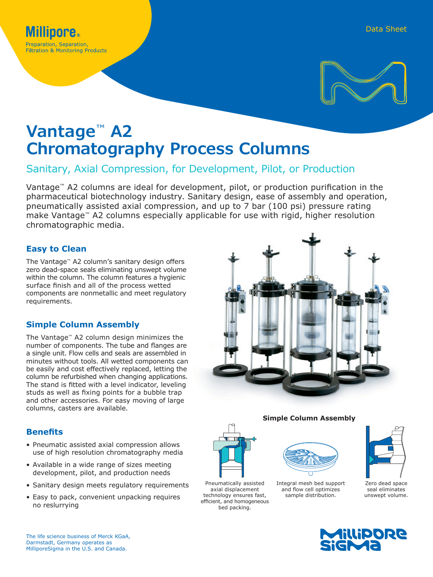

# **Vantage**™ **A2 Chromatography Process Columns**

## Sanitary, Axial Compression, for Development, Pilot, or Production

Vantage™ A2 columns are ideal for development, pilot, or production purification in the pharmaceutical biotechnology industry. Sanitary design, ease of assembly and operation, pneumatically assisted axial compression, and up to 7 bar (100 psi) pressure rating make Vantage™ A2 columns especially applicable for use with rigid, higher resolution chromatographic media.

## **Easy to Clean**

The Vantage™ A2 column's sanitary design offers zero dead-space seals eliminating unswept volume within the column. The column features a hygienic surface finish and all of the process wetted components are nonmetallic and meet regulatory requirements.

## **Simple Column Assembly**

The Vantage™ A2 column design minimizes the number of components. The tube and flanges are a single unit. Flow cells and seals are assembled in minutes without tools. All wetted components can be easily and cost effectively replaced, letting the column be refurbished when changing applications. The stand is fitted with a level indicator, leveling studs as well as fixing points for a bubble trap and other accessories. For easy moving of large columns, casters are available.

## **Benefits**

- Pneumatic assisted axial compression allows use of high resolution chromatography media
- Available in a wide range of sizes meeting development, pilot, and production needs
- Sanitary design meets regulatory requirements
- Easy to pack, convenient unpacking requires no reslurrying



## **Simple Column Assembly**



Pneumatically assisted axial displacement technology ensures fast, efficient, and homogeneous bed packing.



Integral mesh bed support and flow cell optimizes sample distribution.



Zero dead space seal eliminates unswept volume.

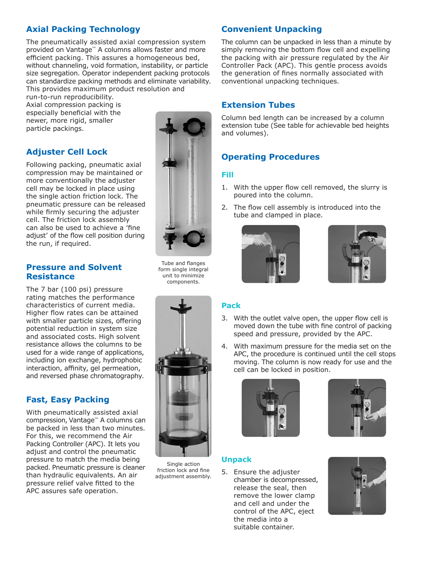## **Axial Packing Technology**

The pneumatically assisted axial compression system provided on Vantage™ A columns allows faster and more efficient packing. This assures a homogeneous bed, without channeling, void formation, instability, or particle size segregation. Operator independent packing protocols can standardize packing methods and eliminate variability. This provides maximum product resolution and

run-to-run reproducibility. Axial compression packing is especially beneficial with the newer, more rigid, smaller particle packings.

## **Adjuster Cell Lock**

Following packing, pneumatic axial compression may be maintained or more conventionally the adjuster cell may be locked in place using the single action friction lock. The pneumatic pressure can be released while firmly securing the adjuster cell. The friction lock assembly can also be used to achieve a 'fine adjust' of the flow cell position during the run, if required.

## **Pressure and Solvent Resistance**

The 7 bar (100 psi) pressure rating matches the performance characteristics of current media. Higher flow rates can be attained with smaller particle sizes, offering potential reduction in system size and associated costs. High solvent resistance allows the columns to be used for a wide range of applications, including ion exchange, hydrophobic interaction, affinity, gel permeation, and reversed phase chromatography.

## **Fast, Easy Packing**

With pneumatically assisted axial compression, Vantage™ A columns can be packed in less than two minutes. For this, we recommend the Air Packing Controller (APC). It lets you adjust and control the pneumatic pressure to match the media being packed. Pneumatic pressure is cleaner than hydraulic equivalents. An air pressure relief valve fitted to the APC assures safe operation.



Tube and flanges form single integral unit to minimize components.



Single action friction lock and fine adjustment assembly.

## **Convenient Unpacking**

The column can be unpacked in less than a minute by simply removing the bottom flow cell and expelling the packing with air pressure regulated by the Air Controller Pack (APC). This gentle process avoids the generation of fines normally associated with conventional unpacking techniques.

## **Extension Tubes**

Column bed length can be increased by a column extension tube (See table for achievable bed heights and volumes).

## **Operating Procedures**

#### **Fill**

- 1. With the upper flow cell removed, the slurry is poured into the column.
- 2. The flow cell assembly is introduced into the tube and clamped in place.





#### **Pack**

- 3. With the outlet valve open, the upper flow cell is moved down the tube with fine control of packing speed and pressure, provided by the APC.
- 4. With maximum pressure for the media set on the APC, the procedure is continued until the cell stops moving. The column is now ready for use and the cell can be locked in position.





#### **Unpack**

5. Ensure the adjuster chamber is decompressed, release the seal, then remove the lower clamp and cell and under the control of the APC, eject the media into a suitable container.

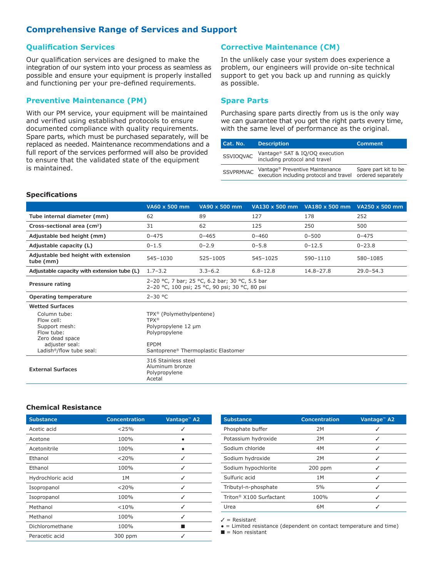## **Comprehensive Range of Services and Support**

#### **Qualification Services**

Our qualification services are designed to make the integration of our system into your process as seamless as possible and ensure your equipment is properly installed and functioning per your pre-defined requirements.

#### **Preventive Maintenance (PM)**

With our PM service, your equipment will be maintained and verified using established protocols to ensure documented compliance with quality requirements. Spare parts, which must be purchased separately, will be replaced as needed. Maintenance recommendations and a full report of the services performed will also be provided to ensure that the validated state of the equipment is maintained.

#### **Corrective Maintenance (CM)**

In the unlikely case your system does experience a problem, our engineers will provide on-site technical support to get you back up and running as quickly as possible.

#### **Spare Parts**

Purchasing spare parts directly from us is the only way we can guarantee that you get the right parts every time, with the same level of performance as the original.

| Cat. No.         | <b>Description</b>                                                         | <b>Comment</b>                             |
|------------------|----------------------------------------------------------------------------|--------------------------------------------|
| SSVIOQVAC        | Vantage® SAT & IQ/OQ execution<br>including protocol and travel            |                                            |
| <b>SSVPRMVAC</b> | Vantage® Preventive Maintenance<br>execution including protocol and travel | Spare part kit to be<br>ordered separately |

#### **Specifications**

|                                                                                                                                        | VA60 x 500 mm                                                                                              | VA90 x 500 mm                       |              | VA130 x 500 mm VA180 x 500 mm | VA250 x 500 mm |
|----------------------------------------------------------------------------------------------------------------------------------------|------------------------------------------------------------------------------------------------------------|-------------------------------------|--------------|-------------------------------|----------------|
| Tube internal diameter (mm)                                                                                                            | 62                                                                                                         | 89                                  | 127          | 178                           | 252            |
| Cross-sectional area (cm <sup>2</sup> )                                                                                                | 31                                                                                                         | 62                                  | 125          | 250                           | 500            |
| Adjustable bed height (mm)                                                                                                             | $0 - 475$                                                                                                  | $0 - 465$                           | $0 - 460$    | $0 - 500$                     | $0 - 475$      |
| Adjustable capacity (L)                                                                                                                | $0 - 1.5$                                                                                                  | $0 - 2.9$                           | $0 - 5.8$    | $0 - 12.5$                    | $0 - 23.8$     |
| Adjustable bed height with extension<br>tube (mm)                                                                                      | 545-1030                                                                                                   | 525-1005                            | 545-1025     | 590-1110                      | 580-1085       |
| Adjustable capacity with extension tube (L)                                                                                            | $1.7 - 3.2$                                                                                                | $3.3 - 6.2$                         | $6.8 - 12.8$ | $14.8 - 27.8$                 | $29.0 - 54.3$  |
| Pressure rating                                                                                                                        | 2-20 °C, 7 bar; 25 °C, 6.2 bar; 30 °C, 5.5 bar<br>2-20 °C, 100 psi; 25 °C, 90 psi; 30 °C, 80 psi           |                                     |              |                               |                |
| <b>Operating temperature</b>                                                                                                           | $2-30$ °C                                                                                                  |                                     |              |                               |                |
| <b>Wetted Surfaces</b>                                                                                                                 |                                                                                                            |                                     |              |                               |                |
| Column tube:<br>Flow cell:<br>Support mesh:<br>Flow tube:<br>Zero dead space<br>adjuster seal:<br>Ladish <sup>®</sup> /flow tube seal: | TPX <sup>®</sup> (Polymethylpentene)<br><b>TPX®</b><br>Polypropylene 12 µm<br>Polypropylene<br><b>EPDM</b> | Santoprene® Thermoplastic Elastomer |              |                               |                |
| <b>External Surfaces</b>                                                                                                               | 316 Stainless steel<br>Aluminum bronze<br>Polypropylene<br>Acetal                                          |                                     |              |                               |                |

#### **Chemical Resistance**

| <b>Substance</b>  | Concentration | Vantage <sup>®</sup> A2 |
|-------------------|---------------|-------------------------|
| Acetic acid       | < 25%         |                         |
| Acetone           | 100%          |                         |
| Acetonitrile      | 100%          |                         |
| Ethanol           | $<$ 20%       | ✓                       |
| Ethanol           | 100%          | ✓                       |
| Hydrochloric acid | 1M            | ✓                       |
| Isopropanol       | $<$ 20%       | ✓                       |
| Isopropanol       | 100%          | ✓                       |
| Methanol          | < 10%         | ✓                       |
| Methanol          | 100%          | ✓                       |
| Dichloromethane   | 100%          |                         |
| Peracetic acid    | 300 ppm       |                         |

| <b>Concentration</b> | Vantage <sup>®</sup> A2 |
|----------------------|-------------------------|
| 2M                   |                         |
| 2M                   | ✓                       |
| 4M                   | ✓                       |
| 2M                   |                         |
| $200$ ppm            | ✓                       |
| 1M                   | ✓                       |
| 5%                   | ✓                       |
| 100%                 | ✓                       |
| 6M                   |                         |
|                      |                         |

 $\angle$  = Resistant

● = Limited resistance (dependent on contact temperature and time)

 $\blacksquare$  = Non resistant